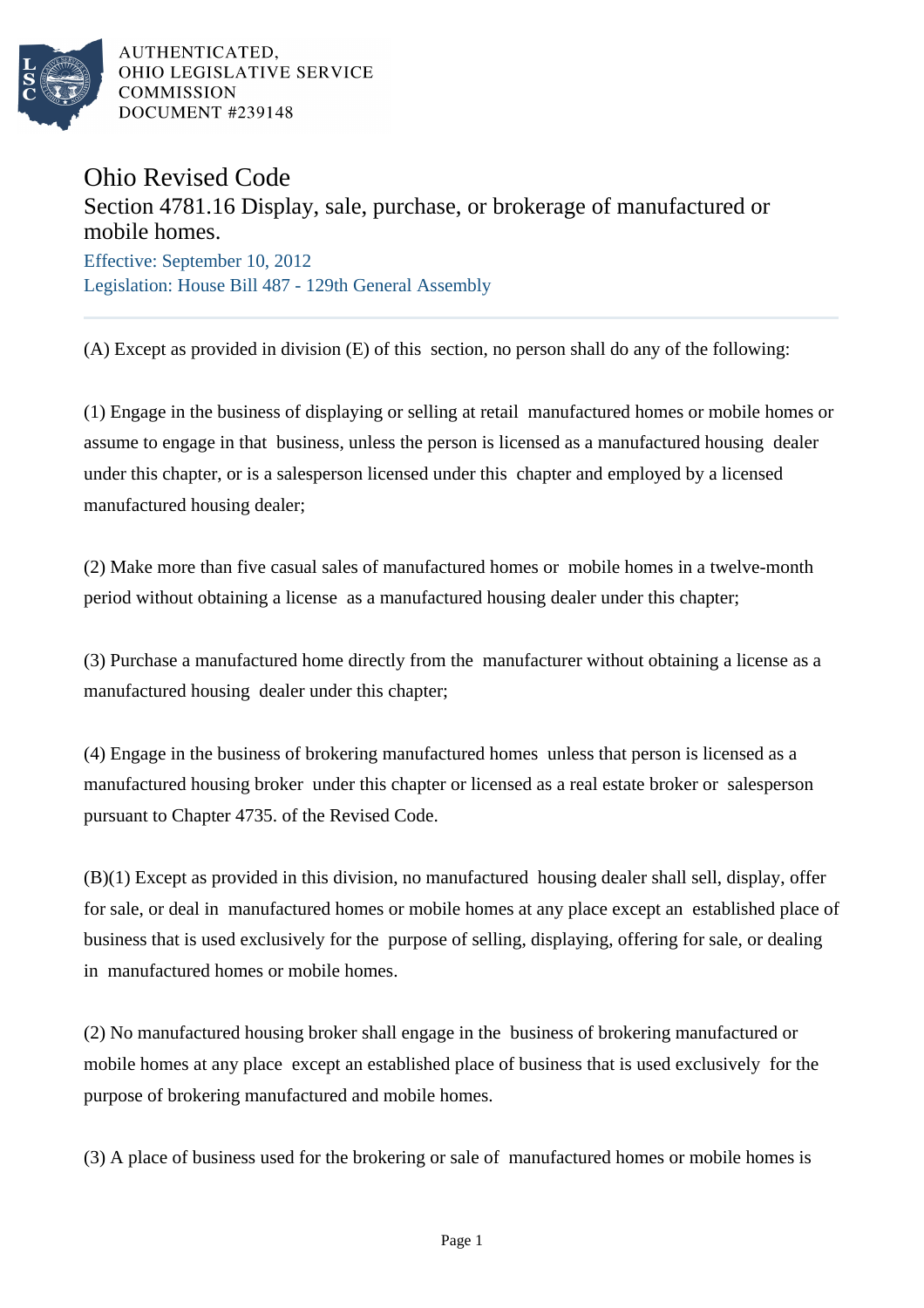

AUTHENTICATED. OHIO LEGISLATIVE SERVICE **COMMISSION** DOCUMENT #239148

## Ohio Revised Code

## Section 4781.16 Display, sale, purchase, or brokerage of manufactured or mobile homes.

Effective: September 10, 2012 Legislation: House Bill 487 - 129th General Assembly

(A) Except as provided in division (E) of this section, no person shall do any of the following:

(1) Engage in the business of displaying or selling at retail manufactured homes or mobile homes or assume to engage in that business, unless the person is licensed as a manufactured housing dealer under this chapter, or is a salesperson licensed under this chapter and employed by a licensed manufactured housing dealer;

(2) Make more than five casual sales of manufactured homes or mobile homes in a twelve-month period without obtaining a license as a manufactured housing dealer under this chapter;

(3) Purchase a manufactured home directly from the manufacturer without obtaining a license as a manufactured housing dealer under this chapter;

(4) Engage in the business of brokering manufactured homes unless that person is licensed as a manufactured housing broker under this chapter or licensed as a real estate broker or salesperson pursuant to Chapter 4735. of the Revised Code.

(B)(1) Except as provided in this division, no manufactured housing dealer shall sell, display, offer for sale, or deal in manufactured homes or mobile homes at any place except an established place of business that is used exclusively for the purpose of selling, displaying, offering for sale, or dealing in manufactured homes or mobile homes.

(2) No manufactured housing broker shall engage in the business of brokering manufactured or mobile homes at any place except an established place of business that is used exclusively for the purpose of brokering manufactured and mobile homes.

(3) A place of business used for the brokering or sale of manufactured homes or mobile homes is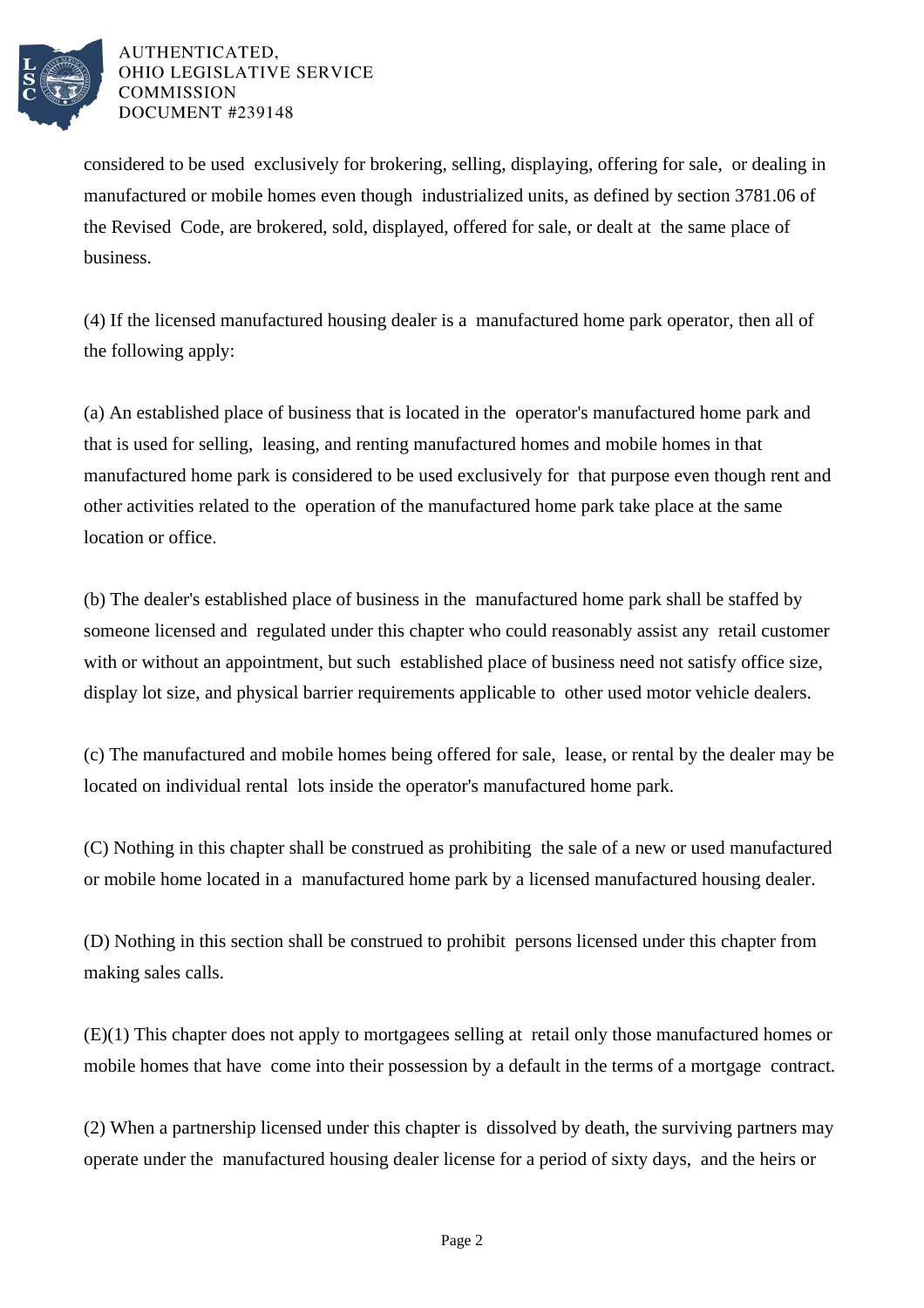

## AUTHENTICATED. OHIO LEGISLATIVE SERVICE **COMMISSION** DOCUMENT #239148

considered to be used exclusively for brokering, selling, displaying, offering for sale, or dealing in manufactured or mobile homes even though industrialized units, as defined by section 3781.06 of the Revised Code, are brokered, sold, displayed, offered for sale, or dealt at the same place of business.

(4) If the licensed manufactured housing dealer is a manufactured home park operator, then all of the following apply:

(a) An established place of business that is located in the operator's manufactured home park and that is used for selling, leasing, and renting manufactured homes and mobile homes in that manufactured home park is considered to be used exclusively for that purpose even though rent and other activities related to the operation of the manufactured home park take place at the same location or office.

(b) The dealer's established place of business in the manufactured home park shall be staffed by someone licensed and regulated under this chapter who could reasonably assist any retail customer with or without an appointment, but such established place of business need not satisfy office size, display lot size, and physical barrier requirements applicable to other used motor vehicle dealers.

(c) The manufactured and mobile homes being offered for sale, lease, or rental by the dealer may be located on individual rental lots inside the operator's manufactured home park.

(C) Nothing in this chapter shall be construed as prohibiting the sale of a new or used manufactured or mobile home located in a manufactured home park by a licensed manufactured housing dealer.

(D) Nothing in this section shall be construed to prohibit persons licensed under this chapter from making sales calls.

(E)(1) This chapter does not apply to mortgagees selling at retail only those manufactured homes or mobile homes that have come into their possession by a default in the terms of a mortgage contract.

(2) When a partnership licensed under this chapter is dissolved by death, the surviving partners may operate under the manufactured housing dealer license for a period of sixty days, and the heirs or